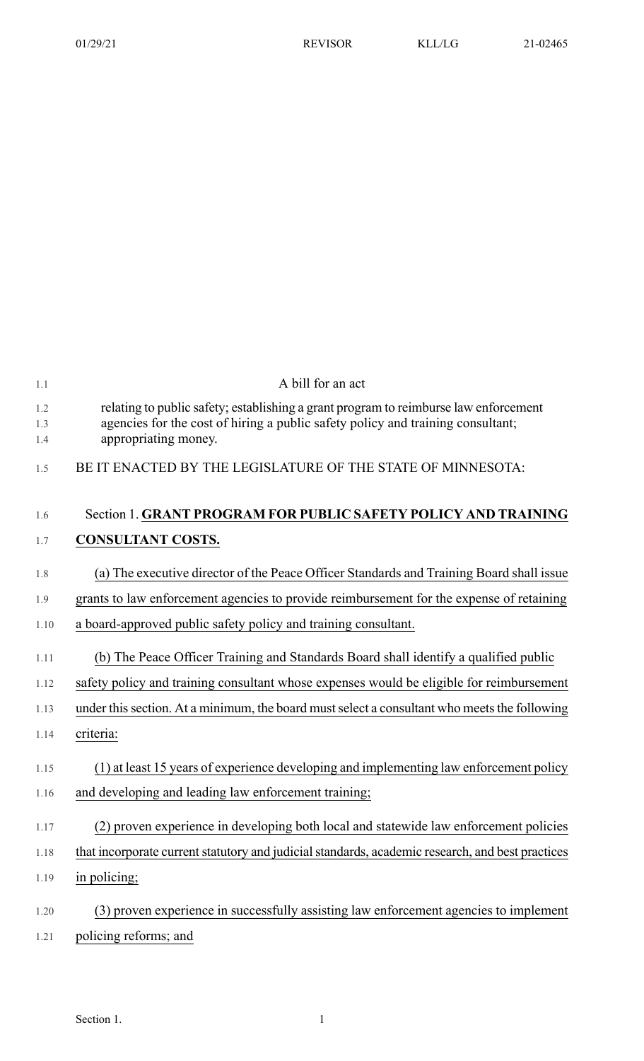| 1.1        | A bill for an act                                                                                                                                                       |
|------------|-------------------------------------------------------------------------------------------------------------------------------------------------------------------------|
| 1.2<br>1.3 | relating to public safety; establishing a grant program to reimburse law enforcement<br>agencies for the cost of hiring a public safety policy and training consultant; |
| 1.4        | appropriating money.                                                                                                                                                    |
| 1.5        | BE IT ENACTED BY THE LEGISLATURE OF THE STATE OF MINNESOTA:                                                                                                             |
| 1.6        | Section 1. GRANT PROGRAM FOR PUBLIC SAFETY POLICY AND TRAINING                                                                                                          |
| 1.7        | <b>CONSULTANT COSTS.</b>                                                                                                                                                |
| 1.8        | (a) The executive director of the Peace Officer Standards and Training Board shall issue                                                                                |
| 1.9        | grants to law enforcement agencies to provide reimbursement for the expense of retaining                                                                                |
| 1.10       | a board-approved public safety policy and training consultant.                                                                                                          |
| 1.11       | (b) The Peace Officer Training and Standards Board shall identify a qualified public                                                                                    |
| 1.12       | safety policy and training consultant whose expenses would be eligible for reimbursement                                                                                |
| 1.13       | under this section. At a minimum, the board must select a consultant who meets the following                                                                            |
| 1.14       | criteria:                                                                                                                                                               |
| 1.15       | (1) at least 15 years of experience developing and implementing law enforcement policy                                                                                  |
| 1.16       | and developing and leading law enforcement training;                                                                                                                    |
| 1.17       | (2) proven experience in developing both local and statewide law enforcement policies                                                                                   |
| 1.18       | that incorporate current statutory and judicial standards, academic research, and best practices                                                                        |
| 1.19       | in policing;                                                                                                                                                            |
| 1.20       | (3) proven experience in successfully assisting law enforcement agencies to implement                                                                                   |
| 1.21       | policing reforms; and                                                                                                                                                   |